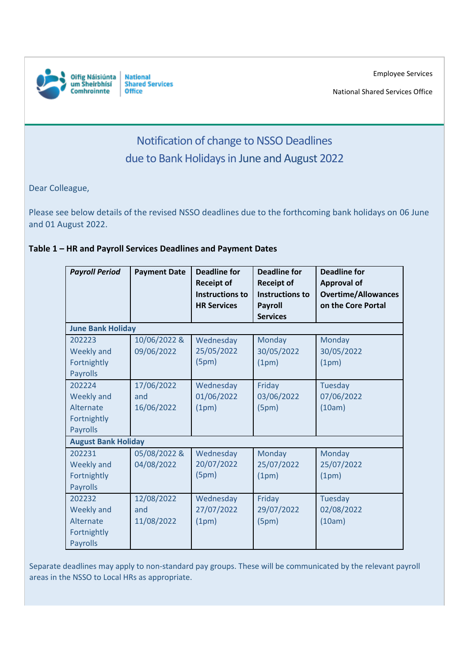

**National Shared Services Office** 

National Shared Services Office

## Notification of change to NSSO Deadlines due to Bank Holidays in June and August 2022

Dear Colleague,

Please see below details of the revised NSSO deadlines due to the forthcoming bank holidays on 06 June and 01 August 2022.

## **Table 1 – HR and Payroll Services Deadlines and Payment Dates**

| <b>Payroll Period</b>                                               | <b>Payment Date</b>             | <b>Deadline for</b><br><b>Receipt of</b><br><b>Instructions to</b><br><b>HR Services</b> | <b>Deadline for</b><br><b>Receipt of</b><br><b>Instructions to</b><br><b>Payroll</b><br><b>Services</b> | <b>Deadline for</b><br><b>Approval of</b><br><b>Overtime/Allowances</b><br>on the Core Portal |  |
|---------------------------------------------------------------------|---------------------------------|------------------------------------------------------------------------------------------|---------------------------------------------------------------------------------------------------------|-----------------------------------------------------------------------------------------------|--|
| <b>June Bank Holiday</b>                                            |                                 |                                                                                          |                                                                                                         |                                                                                               |  |
| 202223<br>Weekly and<br>Fortnightly<br>Payrolls                     | 10/06/2022 &<br>09/06/2022      | Wednesday<br>25/05/2022<br>(5pm)                                                         | Monday<br>30/05/2022<br>(1pm)                                                                           | Monday<br>30/05/2022<br>(1pm)                                                                 |  |
| 202224<br>Weekly and<br>Alternate<br>Fortnightly<br>Payrolls        | 17/06/2022<br>and<br>16/06/2022 | Wednesday<br>01/06/2022<br>(1pm)                                                         | Friday<br>03/06/2022<br>(5pm)                                                                           | <b>Tuesday</b><br>07/06/2022<br>(10am)                                                        |  |
| <b>August Bank Holiday</b>                                          |                                 |                                                                                          |                                                                                                         |                                                                                               |  |
| 202231<br><b>Weekly and</b><br>Fortnightly<br>Payrolls              | 05/08/2022 &<br>04/08/2022      | Wednesday<br>20/07/2022<br>(5pm)                                                         | Monday<br>25/07/2022<br>(1pm)                                                                           | <b>Monday</b><br>25/07/2022<br>(1pm)                                                          |  |
| 202232<br><b>Weekly and</b><br>Alternate<br>Fortnightly<br>Payrolls | 12/08/2022<br>and<br>11/08/2022 | Wednesday<br>27/07/2022<br>(1pm)                                                         | Friday<br>29/07/2022<br>(5pm)                                                                           | <b>Tuesday</b><br>02/08/2022<br>(10am)                                                        |  |

Separate deadlines may apply to non-standard pay groups. These will be communicated by the relevant payroll areas in the NSSO to Local HRs as appropriate.